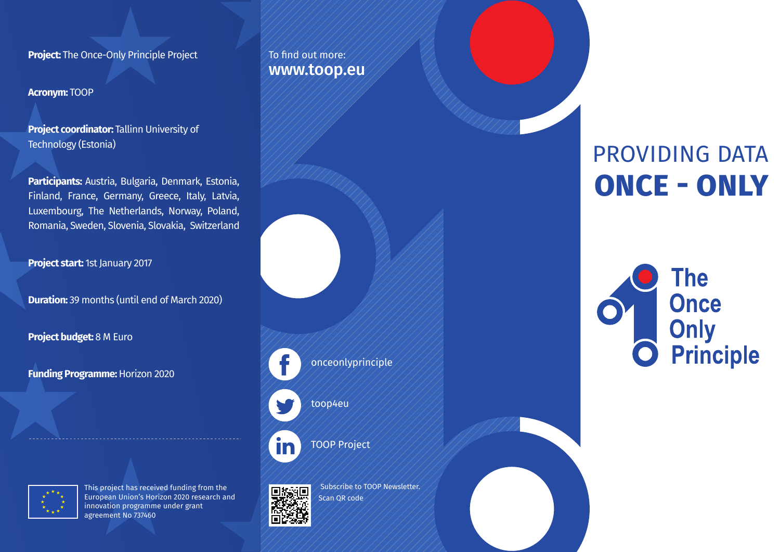**Project:** The Once-Only Principle Project

**Acronym:** TOOP

**Project coordinator: Tallinn University of** Technology (Estonia)

**Participants:** Austria, Bulgaria, Denmark, Estonia, Finland, France, Germany, Greece, Italy, Latvia, Luxembourg, The Netherlands, Norway, Poland, Romania, Sweden, Slovenia, Slovakia, Switzerland

**Project start:** 1st January 2017

**Duration:** 39 months (until end of March 2020)

**Project budget:** 8 M Euro

**Funding Programme:** Horizon 2020



This project has received funding from the European Union's Horizon 2020 research and innovation programme under grant agreement No 737460





m

onceonlyprinciple

toop4eu

TOOP Project

 Subscribe to TOOP Newsletter. Scan QR code

# PROVIDING DATA **ONCE - ONLY**